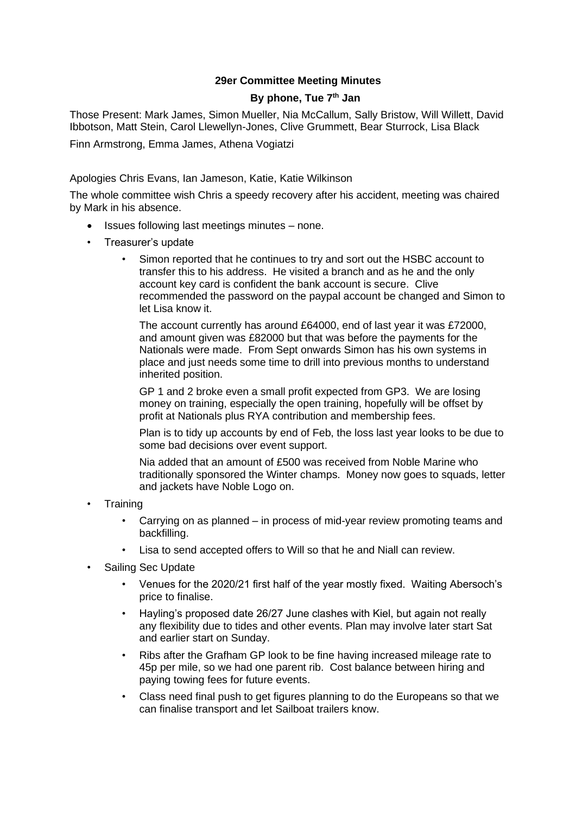## **29er Committee Meeting Minutes**

## **By phone, Tue 7th Jan**

Those Present: Mark James, Simon Mueller, Nia McCallum, Sally Bristow, Will Willett, David Ibbotson, Matt Stein, Carol Llewellyn-Jones, Clive Grummett, Bear Sturrock, Lisa Black

Finn Armstrong, Emma James, Athena Vogiatzi

Apologies Chris Evans, Ian Jameson, Katie, Katie Wilkinson

The whole committee wish Chris a speedy recovery after his accident, meeting was chaired by Mark in his absence.

- Issues following last meetings minutes none.
- Treasurer's update
	- Simon reported that he continues to try and sort out the HSBC account to transfer this to his address. He visited a branch and as he and the only account key card is confident the bank account is secure. Clive recommended the password on the paypal account be changed and Simon to let Lisa know it.

The account currently has around £64000, end of last year it was £72000, and amount given was £82000 but that was before the payments for the Nationals were made. From Sept onwards Simon has his own systems in place and just needs some time to drill into previous months to understand inherited position.

GP 1 and 2 broke even a small profit expected from GP3. We are losing money on training, especially the open training, hopefully will be offset by profit at Nationals plus RYA contribution and membership fees.

Plan is to tidy up accounts by end of Feb, the loss last year looks to be due to some bad decisions over event support.

Nia added that an amount of £500 was received from Noble Marine who traditionally sponsored the Winter champs. Money now goes to squads, letter and jackets have Noble Logo on.

- **Training** 
	- Carrying on as planned in process of mid-year review promoting teams and backfilling.
	- Lisa to send accepted offers to Will so that he and Niall can review.
- Sailing Sec Update
	- Venues for the 2020/21 first half of the year mostly fixed. Waiting Abersoch's price to finalise.
	- Hayling's proposed date 26/27 June clashes with Kiel, but again not really any flexibility due to tides and other events. Plan may involve later start Sat and earlier start on Sunday.
	- Ribs after the Grafham GP look to be fine having increased mileage rate to 45p per mile, so we had one parent rib. Cost balance between hiring and paying towing fees for future events.
	- Class need final push to get figures planning to do the Europeans so that we can finalise transport and let Sailboat trailers know.